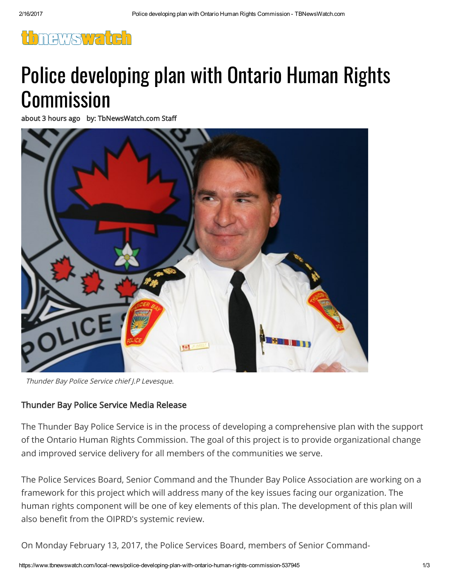

# Police developing plan with Ontario Human Rights **Commission**

about 3 hours ago by: TbNewsWatch.com Staff



Thunder Bay Police Service chief J.P Levesque.

### Thunder Bay Police Service Media Release

The Thunder Bay Police Service is in the process of developing a comprehensive plan with the support of the Ontario Human Rights Commission. The goal of this project is to provide organizational change and improved service delivery for all members of the communities we serve.

The Police Services Board, Senior Command and the Thunder Bay Police Association are working on a framework for this project which will address many of the key issues facing our organization. The human rights component will be one of key elements of this plan. The development of this plan will also benefit from the OIPRD's systemic review.

On Monday February 13, 2017, the Police Services Board, members of Senior Command-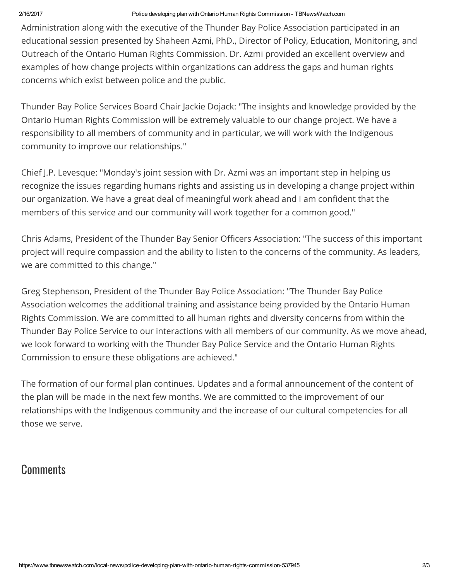#### 2/16/2017 Police developing plan with Ontario Human Rights Commission TBNewsWatch.com

Administration along with the executive of the Thunder Bay Police Association participated in an educational session presented by Shaheen Azmi, PhD., Director of Policy, Education, Monitoring, and Outreach of the Ontario Human Rights Commission. Dr. Azmi provided an excellent overview and examples of how change projects within organizations can address the gaps and human rights concerns which exist between police and the public.

Thunder Bay Police Services Board Chair Jackie Dojack: "The insights and knowledge provided by the Ontario Human Rights Commission will be extremely valuable to our change project. We have a responsibility to all members of community and in particular, we will work with the Indigenous community to improve our relationships."

Chief J.P. Levesque: "Monday's joint session with Dr. Azmi was an important step in helping us recognize the issues regarding humans rights and assisting us in developing a change project within our organization. We have a great deal of meaningful work ahead and I am confident that the members of this service and our community will work together for a common good."

Chris Adams, President of the Thunder Bay Senior Officers Association: "The success of this important project will require compassion and the ability to listen to the concerns of the community. As leaders, we are committed to this change."

Greg Stephenson, President of the Thunder Bay Police Association: "The Thunder Bay Police Association welcomes the additional training and assistance being provided by the Ontario Human Rights Commission. We are committed to all human rights and diversity concerns from within the Thunder Bay Police Service to our interactions with all members of our community. As we move ahead, we look forward to working with the Thunder Bay Police Service and the Ontario Human Rights Commission to ensure these obligations are achieved."

The formation of our formal plan continues. Updates and a formal announcement of the content of the plan will be made in the next few months. We are committed to the improvement of our relationships with the Indigenous community and the increase of our cultural competencies for all those we serve.

## **Comments**